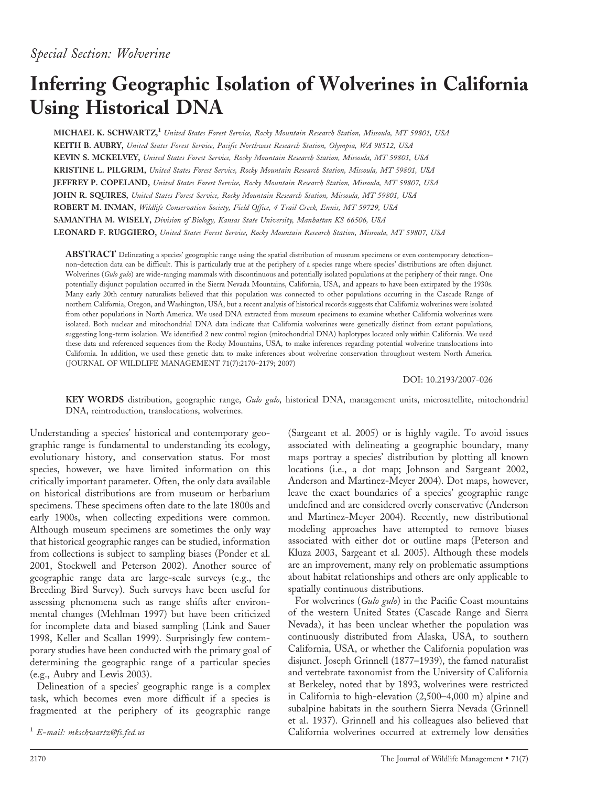# Inferring Geographic Isolation of Wolverines in California Using Historical DNA

MICHAEL K. SCHWARTZ,<sup>1</sup> United States Forest Service, Rocky Mountain Research Station, Missoula, MT 59801, USA KEITH B. AUBRY, United States Forest Service, Pacific Northwest Research Station, Olympia, WA 98512, USA KEVIN S. MCKELVEY, United States Forest Service, Rocky Mountain Research Station, Missoula, MT 59801, USA KRISTINE L. PILGRIM, United States Forest Service, Rocky Mountain Research Station, Missoula, MT 59801, USA JEFFREY P. COPELAND, United States Forest Service, Rocky Mountain Research Station, Missoula, MT 59807, USA JOHN R. SQUIRES, United States Forest Service, Rocky Mountain Research Station, Missoula, MT 59801, USA ROBERT M. INMAN, Wildlife Conservation Society, Field Office, 4 Trail Creek, Ennis, MT 59729, USA SAMANTHA M. WISELY, Division of Biology, Kansas State University, Manhattan KS 66506, USA LEONARD F. RUGGIERO, United States Forest Service, Rocky Mountain Research Station, Missoula, MT 59807, USA

**ABSTRACT** Delineating a species' geographic range using the spatial distribution of museum specimens or even contemporary detection– non-detection data can be difficult. This is particularly true at the periphery of a species range where species' distributions are often disjunct. Wolverines (Gulo gulo) are wide-ranging mammals with discontinuous and potentially isolated populations at the periphery of their range. One potentially disjunct population occurred in the Sierra Nevada Mountains, California, USA, and appears to have been extirpated by the 1930s. Many early 20th century naturalists believed that this population was connected to other populations occurring in the Cascade Range of northern California, Oregon, and Washington, USA, but a recent analysis of historical records suggests that California wolverines were isolated from other populations in North America. We used DNA extracted from museum specimens to examine whether California wolverines were isolated. Both nuclear and mitochondrial DNA data indicate that California wolverines were genetically distinct from extant populations, suggesting long-term isolation. We identified 2 new control region (mitochondrial DNA) haplotypes located only within California. We used these data and referenced sequences from the Rocky Mountains, USA, to make inferences regarding potential wolverine translocations into California. In addition, we used these genetic data to make inferences about wolverine conservation throughout western North America. (JOURNAL OF WILDLIFE MANAGEMENT 71(7):2170–2179; 2007)

DOI: 10.2193/2007-026

KEY WORDS distribution, geographic range, Gulo gulo, historical DNA, management units, microsatellite, mitochondrial DNA, reintroduction, translocations, wolverines.

Understanding a species' historical and contemporary geographic range is fundamental to understanding its ecology, evolutionary history, and conservation status. For most species, however, we have limited information on this critically important parameter. Often, the only data available on historical distributions are from museum or herbarium specimens. These specimens often date to the late 1800s and early 1900s, when collecting expeditions were common. Although museum specimens are sometimes the only way that historical geographic ranges can be studied, information from collections is subject to sampling biases (Ponder et al. 2001, Stockwell and Peterson 2002). Another source of geographic range data are large-scale surveys (e.g., the Breeding Bird Survey). Such surveys have been useful for assessing phenomena such as range shifts after environmental changes (Mehlman 1997) but have been criticized for incomplete data and biased sampling (Link and Sauer 1998, Keller and Scallan 1999). Surprisingly few contemporary studies have been conducted with the primary goal of determining the geographic range of a particular species (e.g., Aubry and Lewis 2003).

Delineation of a species' geographic range is a complex task, which becomes even more difficult if a species is fragmented at the periphery of its geographic range (Sargeant et al. 2005) or is highly vagile. To avoid issues associated with delineating a geographic boundary, many maps portray a species' distribution by plotting all known locations (i.e., a dot map; Johnson and Sargeant 2002, Anderson and Martinez-Meyer 2004). Dot maps, however, leave the exact boundaries of a species' geographic range undefined and are considered overly conservative (Anderson and Martinez-Meyer 2004). Recently, new distributional modeling approaches have attempted to remove biases associated with either dot or outline maps (Peterson and Kluza 2003, Sargeant et al. 2005). Although these models are an improvement, many rely on problematic assumptions about habitat relationships and others are only applicable to spatially continuous distributions.

For wolverines (Gulo gulo) in the Pacific Coast mountains of the western United States (Cascade Range and Sierra Nevada), it has been unclear whether the population was continuously distributed from Alaska, USA, to southern California, USA, or whether the California population was disjunct. Joseph Grinnell (1877–1939), the famed naturalist and vertebrate taxonomist from the University of California at Berkeley, noted that by 1893, wolverines were restricted in California to high-elevation (2,500–4,000 m) alpine and subalpine habitats in the southern Sierra Nevada (Grinnell et al. 1937). Grinnell and his colleagues also believed that  $\frac{1}{1}$  E-mail: mkschwartz@fs.fed.us  $\qquad \qquad$  California wolverines occurred at extremely low densities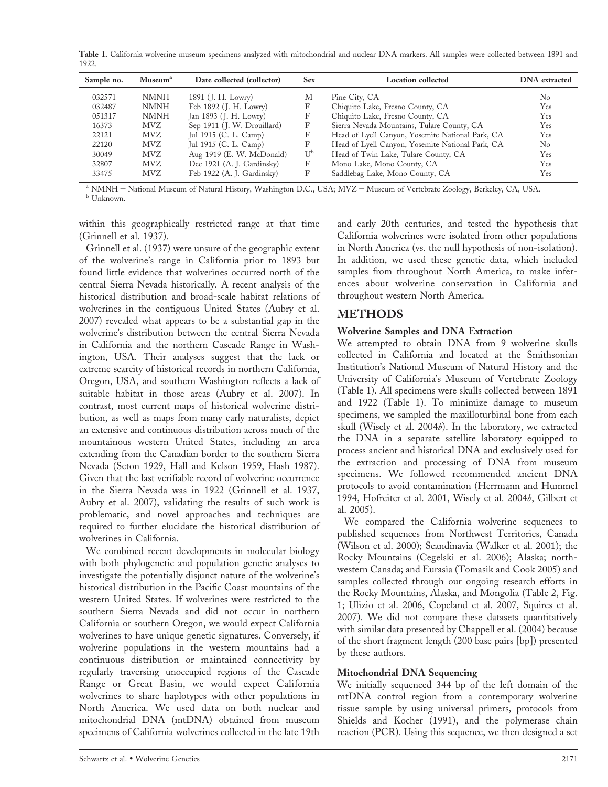Table 1. California wolverine museum specimens analyzed with mitochondrial and nuclear DNA markers. All samples were collected between 1891 and 1922.

| Sample no. | Museum <sup>a</sup> | Date collected (collector)  | <b>Sex</b>  | <b>Location</b> collected                        | <b>DNA</b> extracted |
|------------|---------------------|-----------------------------|-------------|--------------------------------------------------|----------------------|
| 032571     | <b>NMNH</b>         | 1891 (J. H. Lowry)          | M           | Pine City, CA                                    | $\rm No$             |
| 032487     | <b>NMNH</b>         | Feb 1892 (J. H. Lowry)      | F           | Chiquito Lake, Fresno County, CA                 | Yes                  |
| 051317     | <b>NMNH</b>         | Jan 1893 (J. H. Lowry)      | F           | Chiquito Lake, Fresno County, CA                 | Yes                  |
| 16373      | MVZ                 | Sep 1911 (J. W. Drouillard) | F           | Sierra Nevada Mountains, Tulare County, CA       | Yes                  |
| 22121      | MVZ                 | Jul 1915 (C. L. Camp)       | F           | Head of Lyell Canyon, Yosemite National Park, CA | Yes                  |
| 22120      | MVZ                 | Jul 1915 (C. L. Camp)       |             | Head of Lyell Canyon, Yosemite National Park, CA | $\rm No$             |
| 30049      | MVZ                 | Aug 1919 (E. W. McDonald)   | $U^{\rm b}$ | Head of Twin Lake, Tulare County, CA             | Yes                  |
| 32807      | MVZ                 | Dec 1921 (A. J. Gardinsky)  | F           | Mono Lake, Mono County, CA                       | Yes                  |
| 33475      | MVZ                 | Feb 1922 (A. J. Gardinsky)  | F           | Saddlebag Lake, Mono County, CA                  | Yes                  |

<sup>a</sup> NMNH = National Museum of Natural History, Washington D.C., USA; MVZ = Museum of Vertebrate Zoology, Berkeley, CA, USA. b Unknown.

within this geographically restricted range at that time (Grinnell et al. 1937).

Grinnell et al. (1937) were unsure of the geographic extent of the wolverine's range in California prior to 1893 but found little evidence that wolverines occurred north of the central Sierra Nevada historically. A recent analysis of the historical distribution and broad-scale habitat relations of wolverines in the contiguous United States (Aubry et al. 2007) revealed what appears to be a substantial gap in the wolverine's distribution between the central Sierra Nevada in California and the northern Cascade Range in Washington, USA. Their analyses suggest that the lack or extreme scarcity of historical records in northern California, Oregon, USA, and southern Washington reflects a lack of suitable habitat in those areas (Aubry et al. 2007). In contrast, most current maps of historical wolverine distribution, as well as maps from many early naturalists, depict an extensive and continuous distribution across much of the mountainous western United States, including an area extending from the Canadian border to the southern Sierra Nevada (Seton 1929, Hall and Kelson 1959, Hash 1987). Given that the last verifiable record of wolverine occurrence in the Sierra Nevada was in 1922 (Grinnell et al. 1937, Aubry et al. 2007), validating the results of such work is problematic, and novel approaches and techniques are required to further elucidate the historical distribution of wolverines in California.

We combined recent developments in molecular biology with both phylogenetic and population genetic analyses to investigate the potentially disjunct nature of the wolverine's historical distribution in the Pacific Coast mountains of the western United States. If wolverines were restricted to the southern Sierra Nevada and did not occur in northern California or southern Oregon, we would expect California wolverines to have unique genetic signatures. Conversely, if wolverine populations in the western mountains had a continuous distribution or maintained connectivity by regularly traversing unoccupied regions of the Cascade Range or Great Basin, we would expect California wolverines to share haplotypes with other populations in North America. We used data on both nuclear and mitochondrial DNA (mtDNA) obtained from museum specimens of California wolverines collected in the late 19th

and early 20th centuries, and tested the hypothesis that California wolverines were isolated from other populations in North America (vs. the null hypothesis of non-isolation). In addition, we used these genetic data, which included samples from throughout North America, to make inferences about wolverine conservation in California and throughout western North America.

## METHODS

#### Wolverine Samples and DNA Extraction

We attempted to obtain DNA from 9 wolverine skulls collected in California and located at the Smithsonian Institution's National Museum of Natural History and the University of California's Museum of Vertebrate Zoology (Table 1). All specimens were skulls collected between 1891 and 1922 (Table 1). To minimize damage to museum specimens, we sampled the maxilloturbinal bone from each skull (Wisely et al. 2004b). In the laboratory, we extracted the DNA in a separate satellite laboratory equipped to process ancient and historical DNA and exclusively used for the extraction and processing of DNA from museum specimens. We followed recommended ancient DNA protocols to avoid contamination (Herrmann and Hummel 1994, Hofreiter et al. 2001, Wisely et al. 2004b, Gilbert et al. 2005).

We compared the California wolverine sequences to published sequences from Northwest Territories, Canada (Wilson et al. 2000); Scandinavia (Walker et al. 2001); the Rocky Mountains (Cegelski et al. 2006); Alaska; northwestern Canada; and Eurasia (Tomasik and Cook 2005) and samples collected through our ongoing research efforts in the Rocky Mountains, Alaska, and Mongolia (Table 2, Fig. 1; Ulizio et al. 2006, Copeland et al. 2007, Squires et al. 2007). We did not compare these datasets quantitatively with similar data presented by Chappell et al. (2004) because of the short fragment length (200 base pairs [bp]) presented by these authors.

#### Mitochondrial DNA Sequencing

We initially sequenced 344 bp of the left domain of the mtDNA control region from a contemporary wolverine tissue sample by using universal primers, protocols from Shields and Kocher (1991), and the polymerase chain reaction (PCR). Using this sequence, we then designed a set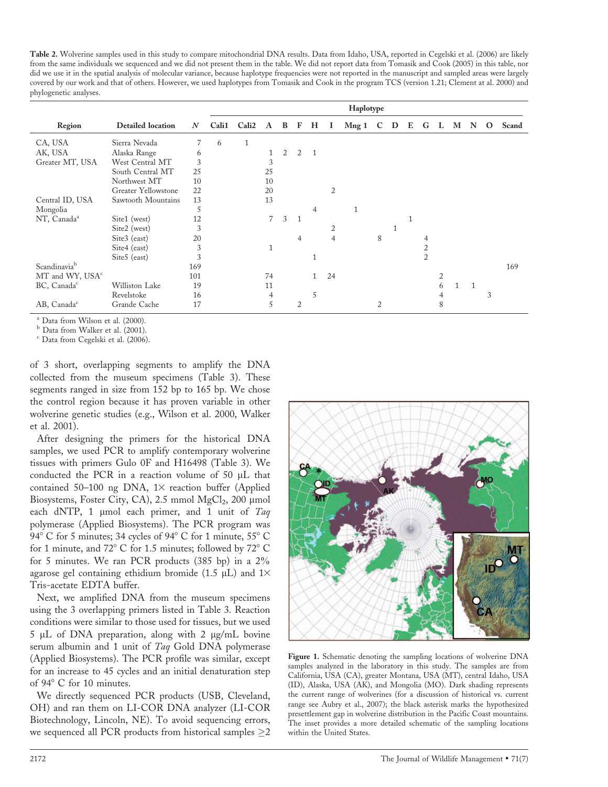Table 2. Wolverine samples used in this study to compare mitochondrial DNA results. Data from Idaho, USA, reported in Cegelski et al. (2006) are likely from the same individuals we sequenced and we did not present them in the table. We did not report data from Tomasik and Cook (2005) in this table, nor did we use it in the spatial analysis of molecular variance, because haplotype frequencies were not reported in the manuscript and sampled areas were largely covered by our work and that of others. However, we used haplotypes from Tomasik and Cook in the program TCS (version 1.21; Clement at al. 2000) and phylogenetic analyses.

|                             |                          |                  |       |                   |                |                |              |                |                | Haplotype |                |   |   |   |   |   |             |          |       |
|-----------------------------|--------------------------|------------------|-------|-------------------|----------------|----------------|--------------|----------------|----------------|-----------|----------------|---|---|---|---|---|-------------|----------|-------|
| Region                      | <b>Detailed location</b> | $\boldsymbol{N}$ | Cali1 | Cali <sub>2</sub> | A              | в              |              | н              |                | Mng 1     | С              | D | E | G | L | М | $\mathbf N$ | $\Omega$ | Scand |
| CA, USA                     | Sierra Nevada            | 7                | 6     | $\mathbf{1}$      |                |                |              |                |                |           |                |   |   |   |   |   |             |          |       |
| AK, USA                     | Alaska Range             | 6                |       |                   |                | $\overline{2}$ | 2            | -1             |                |           |                |   |   |   |   |   |             |          |       |
| Greater MT, USA             | West Central MT          | 3                |       |                   | 3              |                |              |                |                |           |                |   |   |   |   |   |             |          |       |
|                             | South Central MT         | 25               |       |                   | 25             |                |              |                |                |           |                |   |   |   |   |   |             |          |       |
|                             | Northwest MT             | 10               |       |                   | 10             |                |              |                |                |           |                |   |   |   |   |   |             |          |       |
|                             | Greater Yellowstone      | 22               |       |                   | 20             |                |              |                | $\overline{2}$ |           |                |   |   |   |   |   |             |          |       |
| Central ID, USA             | Sawtooth Mountains       | 13               |       |                   | 13             |                |              |                |                |           |                |   |   |   |   |   |             |          |       |
| Mongolia                    |                          | 5                |       |                   |                |                |              | $\overline{4}$ |                | 1         |                |   |   |   |   |   |             |          |       |
| NT, Canada <sup>a</sup>     | Site1 (west)             | 12               |       |                   | $\overline{7}$ | 3              | $\mathbf{1}$ |                |                |           |                |   |   |   |   |   |             |          |       |
|                             | Site2 (west)             | 3                |       |                   |                |                |              |                | 2              |           |                |   |   |   |   |   |             |          |       |
|                             | Site3 (east)             | 20               |       |                   |                |                | 4            |                | $\overline{4}$ |           | 8              |   |   |   |   |   |             |          |       |
|                             | Site4 (east)             | 3                |       |                   |                |                |              |                |                |           |                |   |   |   |   |   |             |          |       |
|                             | Site5 (east)             | 3                |       |                   |                |                |              |                |                |           |                |   |   | 2 |   |   |             |          |       |
| Scandinavia <sup>b</sup>    |                          | 169              |       |                   |                |                |              |                |                |           |                |   |   |   |   |   |             |          | 169   |
| MT and WY, USA <sup>c</sup> |                          | 101              |       |                   | 74             |                |              | $\mathbf{1}$   | 24             |           |                |   |   |   | 2 |   |             |          |       |
| BC, Canada <sup>c</sup>     | Williston Lake           | 19               |       |                   | 11             |                |              |                |                |           |                |   |   |   | 6 |   |             |          |       |
|                             | Revelstoke               | 16               |       |                   | 4              |                |              | 5              |                |           |                |   |   |   | 4 |   |             | 3        |       |
| AB, Canada <sup>c</sup>     | Grande Cache             | 17               |       |                   | 5              |                | 2            |                |                |           | $\overline{2}$ |   |   |   | 8 |   |             |          |       |

<sup>a</sup> Data from Wilson et al. (2000).

<sup>b</sup> Data from Walker et al. (2001).

<sup>c</sup> Data from Cegelski et al. (2006).

of 3 short, overlapping segments to amplify the DNA collected from the museum specimens (Table 3). These segments ranged in size from 152 bp to 165 bp. We chose the control region because it has proven variable in other wolverine genetic studies (e.g., Wilson et al. 2000, Walker et al. 2001).

After designing the primers for the historical DNA samples, we used PCR to amplify contemporary wolverine tissues with primers Gulo 0F and H16498 (Table 3). We conducted the PCR in a reaction volume of 50  $\mu$ L that contained 50–100 ng DNA,  $1\times$  reaction buffer (Applied Biosystems, Foster City, CA),  $2.5$  mmol MgCl<sub>2</sub>,  $200$  µmol each dNTP, 1  $\mu$ mol each primer, and 1 unit of Taq polymerase (Applied Biosystems). The PCR program was 94 $\degree$  C for 5 minutes; 34 cycles of 94 $\degree$  C for 1 minute, 55 $\degree$  C for 1 minute, and  $72^{\circ}$  C for 1.5 minutes; followed by  $72^{\circ}$  C for 5 minutes. We ran PCR products (385 bp) in a 2% agarose gel containing ethidium bromide (1.5  $\mu$ L) and 1 $\times$ Tris-acetate EDTA buffer.

Next, we amplified DNA from the museum specimens using the 3 overlapping primers listed in Table 3. Reaction conditions were similar to those used for tissues, but we used 5 µL of DNA preparation, along with 2  $\mu$ g/mL bovine serum albumin and 1 unit of Taq Gold DNA polymerase (Applied Biosystems). The PCR profile was similar, except for an increase to 45 cycles and an initial denaturation step of 94° C for 10 minutes.

We directly sequenced PCR products (USB, Cleveland, OH) and ran them on LI-COR DNA analyzer (LI-COR Biotechnology, Lincoln, NE). To avoid sequencing errors, we sequenced all PCR products from historical samples  $\geq$ 2



Figure 1. Schematic denoting the sampling locations of wolverine DNA samples analyzed in the laboratory in this study. The samples are from California, USA (CA), greater Montana, USA (MT), central Idaho, USA (ID), Alaska, USA (AK), and Mongolia (MO). Dark shading represents the current range of wolverines (for a discussion of historical vs. current range see Aubry et al., 2007); the black asterisk marks the hypothesized presettlement gap in wolverine distribution in the Pacific Coast mountains. The inset provides a more detailed schematic of the sampling locations within the United States.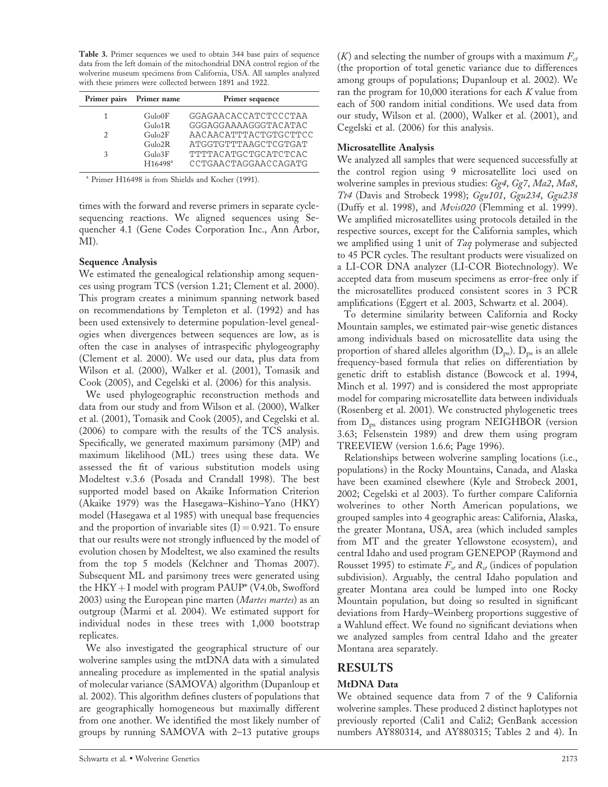Table 3. Primer sequences we used to obtain 344 base pairs of sequence data from the left domain of the mitochondrial DNA control region of the wolverine museum specimens from California, USA. All samples analyzed with these primers were collected between 1891 and 1922.

|               | Primer pairs Primer name | Primer sequence             |
|---------------|--------------------------|-----------------------------|
|               | $\rm{Gulo}$              | GGAGAACACCATCTCCCTAA        |
|               | Gulo1R                   | GGGAGGAAAAGGGTACATAC        |
| $\mathcal{L}$ | Gulo2F                   | AACAACATTTACTGTGCTTCC       |
|               | Gulo2R                   | ATGGTGTTTAAGCTCGTGAT        |
|               | $\rm{Gulo3F}$            | <b>TTTTACATGCTGCATCTCAC</b> |
|               | H16498 <sup>a</sup>      | CCTGAACTAGGAACCAGATG        |
|               |                          |                             |

<sup>a</sup> Primer H16498 is from Shields and Kocher (1991).

times with the forward and reverse primers in separate cyclesequencing reactions. We aligned sequences using Sequencher 4.1 (Gene Codes Corporation Inc., Ann Arbor, MI).

#### Sequence Analysis

We estimated the genealogical relationship among sequences using program TCS (version 1.21; Clement et al. 2000). This program creates a minimum spanning network based on recommendations by Templeton et al. (1992) and has been used extensively to determine population-level genealogies when divergences between sequences are low, as is often the case in analyses of intraspecific phylogeography (Clement et al. 2000). We used our data, plus data from Wilson et al. (2000), Walker et al. (2001), Tomasik and Cook (2005), and Cegelski et al. (2006) for this analysis.

We used phylogeographic reconstruction methods and data from our study and from Wilson et al. (2000), Walker et al. (2001), Tomasik and Cook (2005), and Cegelski et al. (2006) to compare with the results of the TCS analysis. Specifically, we generated maximum parsimony (MP) and maximum likelihood (ML) trees using these data. We assessed the fit of various substitution models using Modeltest v.3.6 (Posada and Crandall 1998). The best supported model based on Akaike Information Criterion (Akaike 1979) was the Hasegawa–Kishino–Yano (HKY) model (Hasegawa et al 1985) with unequal base frequencies and the proportion of invariable sites  $(I) = 0.921$ . To ensure that our results were not strongly influenced by the model of evolution chosen by Modeltest, we also examined the results from the top 5 models (Kelchner and Thomas 2007). Subsequent ML and parsimony trees were generated using the  $HKY + I$  model with program  $PAUP^*$  (V4.0b, Swofford 2003) using the European pine marten (Martes martes) as an outgroup (Marmi et al. 2004). We estimated support for individual nodes in these trees with 1,000 bootstrap replicates.

We also investigated the geographical structure of our wolverine samples using the mtDNA data with a simulated annealing procedure as implemented in the spatial analysis of molecular variance (SAMOVA) algorithm (Dupanloup et al. 2002). This algorithm defines clusters of populations that are geographically homogeneous but maximally different from one another. We identified the most likely number of groups by running SAMOVA with 2–13 putative groups

 $(K)$  and selecting the number of groups with a maximum  $F_{ct}$ (the proportion of total genetic variance due to differences among groups of populations; Dupanloup et al. 2002). We ran the program for 10,000 iterations for each K value from each of 500 random initial conditions. We used data from our study, Wilson et al. (2000), Walker et al. (2001), and Cegelski et al. (2006) for this analysis.

### Microsatellite Analysis

We analyzed all samples that were sequenced successfully at the control region using 9 microsatellite loci used on wolverine samples in previous studies: Gg4, Gg7, Ma2, Ma8, Tt4 (Davis and Strobeck 1998); Ggu101, Ggu234, Ggu238 (Duffy et al. 1998), and Mvis020 (Flemming et al. 1999). We amplified microsatellites using protocols detailed in the respective sources, except for the California samples, which we amplified using 1 unit of *Taq* polymerase and subjected to 45 PCR cycles. The resultant products were visualized on a LI-COR DNA analyzer (LI-COR Biotechnology). We accepted data from museum specimens as error-free only if the microsatellites produced consistent scores in 3 PCR amplifications (Eggert et al. 2003, Schwartz et al. 2004).

To determine similarity between California and Rocky Mountain samples, we estimated pair-wise genetic distances among individuals based on microsatellite data using the proportion of shared alleles algorithm  $(D_{ps})$ .  $D_{ps}$  is an allele frequency-based formula that relies on differentiation by genetic drift to establish distance (Bowcock et al. 1994, Minch et al. 1997) and is considered the most appropriate model for comparing microsatellite data between individuals (Rosenberg et al. 2001). We constructed phylogenetic trees from  $D_{ps}$  distances using program NEIGHBOR (version 3.63; Felsenstein 1989) and drew them using program TREEVIEW (version 1.6.6; Page 1996).

Relationships between wolverine sampling locations (i.e., populations) in the Rocky Mountains, Canada, and Alaska have been examined elsewhere (Kyle and Strobeck 2001, 2002; Cegelski et al 2003). To further compare California wolverines to other North American populations, we grouped samples into 4 geographic areas: California, Alaska, the greater Montana, USA, area (which included samples from MT and the greater Yellowstone ecosystem), and central Idaho and used program GENEPOP (Raymond and Rousset 1995) to estimate  $F_{st}$  and  $R_{st}$  (indices of population subdivision). Arguably, the central Idaho population and greater Montana area could be lumped into one Rocky Mountain population, but doing so resulted in significant deviations from Hardy–Weinberg proportions suggestive of a Wahlund effect. We found no significant deviations when we analyzed samples from central Idaho and the greater Montana area separately.

# RESULTS

## MtDNA Data

We obtained sequence data from 7 of the 9 California wolverine samples. These produced 2 distinct haplotypes not previously reported (Cali1 and Cali2; GenBank accession numbers AY880314, and AY880315; Tables 2 and 4). In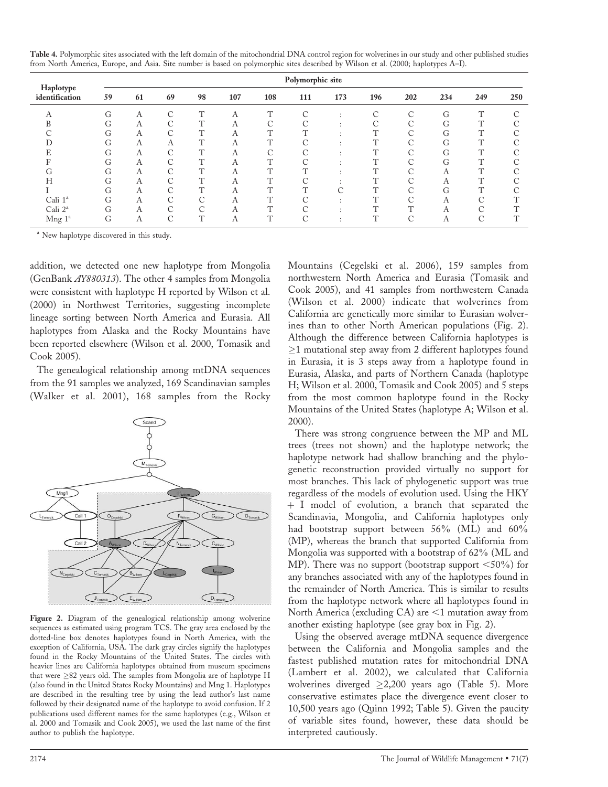Table 4. Polymorphic sites associated with the left domain of the mitochondrial DNA control region for wolverines in our study and other published studies from North America, Europe, and Asia. Site number is based on polymorphic sites described by Wilson et al. (2000; haplotypes A–I).

|                             | Polymorphic site |    |                         |                    |     |                |                    |                      |                    |                    |     |                    |                    |
|-----------------------------|------------------|----|-------------------------|--------------------|-----|----------------|--------------------|----------------------|--------------------|--------------------|-----|--------------------|--------------------|
| Haplotype<br>identification | 59               | 61 | 69                      | 98                 | 107 | 108            | 111                | 173                  | 196                | 202                | 234 | 249                | 250                |
|                             | G                | А  | ⌒                       | Ţ                  | А   | $\sqrt{1}$     | $\curvearrowright$ |                      | $\curvearrowright$ | С                  | G   | $\mathbf{T}$       | $\curvearrowright$ |
|                             | G                | A  | $\curvearrowright$<br>◡ | $\mathbf{r}$       | А   | С              | $\sim$             |                      | $\curvearrowright$ | C                  | G   | Ţ                  |                    |
|                             | G                | А  | $\curvearrowright$      | $\overline{ }$     | А   | $\overline{ }$ | $\mathbf{T}$       |                      | $\mathbf{H}$       | $\cap$             | G   |                    |                    |
|                             | G                | А  | А                       | $\mathbf{H}$       | А   | $\mathbf{H}$   |                    |                      | $\mathbf{H}$       | $\mathcal{C}$      | G   | $\mathbf{H}$       |                    |
|                             | G                | А  | $\curvearrowright$<br>◡ | $\mathbf{r}$       | А   | ⌒<br>U         | $\sim$             |                      | $\mathbf{H}$       | C                  | G   | Ě                  |                    |
|                             | G                | А  | $\curvearrowright$      | $\mathbf{H}$       | А   | $\mathbf{H}$   |                    |                      | $\mathbf{H}$       | C                  | G   | Ě                  |                    |
|                             | G                | А  | $\curvearrowright$      | $\mathbf{H}$       | А   | $\mathbf{H}$   | $\mathbf{T}$       |                      | $\mathbf{H}$       | $\curvearrowright$ | А   | Ě                  |                    |
|                             | G                | А  | $\curvearrowright$      | $\mathbf{H}$       | А   |                |                    |                      |                    | С                  | А   |                    |                    |
|                             | G                | А  | $\curvearrowright$      | $\mathbf{r}$       | A   |                | T                  | $\curvearrowright$   | $\mathbf{T}$       | $\cap$             | G   | $\mathbf{H}$       |                    |
| Cali 1 <sup>ª</sup>         | G                | А  | $\curvearrowright$      | $\curvearrowright$ | А   | $\mathbf{H}$   | $\sim$             |                      | Ţ                  | $\curvearrowright$ | А   |                    |                    |
| Cali 2 <sup>ª</sup>         | G                | А  | $\sim$                  | $\curvearrowright$ | А   | $\mathbf{H}$   | $\curvearrowright$ |                      | $\mathbf{H}$       | $\sqrt{1}$         | А   | $\curvearrowright$ |                    |
| Mng 1 <sup>a</sup>          | G                | A  | C                       | T                  | А   | $\sqrt{1}$     | $\mathcal{C}$      | $\bullet$<br>$\cdot$ | T                  | C                  | А   | $\mathcal{C}$      |                    |

<sup>a</sup> New haplotype discovered in this study.

addition, we detected one new haplotype from Mongolia (GenBank AY880313). The other 4 samples from Mongolia were consistent with haplotype H reported by Wilson et al. (2000) in Northwest Territories, suggesting incomplete lineage sorting between North America and Eurasia. All haplotypes from Alaska and the Rocky Mountains have been reported elsewhere (Wilson et al. 2000, Tomasik and Cook 2005).

The genealogical relationship among mtDNA sequences from the 91 samples we analyzed, 169 Scandinavian samples (Walker et al. 2001), 168 samples from the Rocky



Figure 2. Diagram of the genealogical relationship among wolverine sequences as estimated using program TCS. The gray area enclosed by the dotted-line box denotes haplotypes found in North America, with the exception of California, USA. The dark gray circles signify the haplotypes found in the Rocky Mountains of the United States. The circles with heavier lines are California haplotypes obtained from museum specimens that were  $\geq$ 82 years old. The samples from Mongolia are of haplotype H (also found in the United States Rocky Mountains) and Mng 1. Haplotypes are described in the resulting tree by using the lead author's last name followed by their designated name of the haplotype to avoid confusion. If 2 publications used different names for the same haplotypes (e.g., Wilson et al. 2000 and Tomasik and Cook 2005), we used the last name of the first author to publish the haplotype.

Mountains (Cegelski et al. 2006), 159 samples from northwestern North America and Eurasia (Tomasik and Cook 2005), and 41 samples from northwestern Canada (Wilson et al. 2000) indicate that wolverines from California are genetically more similar to Eurasian wolverines than to other North American populations (Fig. 2). Although the difference between California haplotypes is  $\geq$ 1 mutational step away from 2 different haplotypes found in Eurasia, it is 3 steps away from a haplotype found in Eurasia, Alaska, and parts of Northern Canada (haplotype H; Wilson et al. 2000, Tomasik and Cook 2005) and 5 steps from the most common haplotype found in the Rocky Mountains of the United States (haplotype A; Wilson et al. 2000).

There was strong congruence between the MP and ML trees (trees not shown) and the haplotype network; the haplotype network had shallow branching and the phylogenetic reconstruction provided virtually no support for most branches. This lack of phylogenetic support was true regardless of the models of evolution used. Using the HKY þ I model of evolution, a branch that separated the Scandinavia, Mongolia, and California haplotypes only had bootstrap support between 56% (ML) and 60% (MP), whereas the branch that supported California from Mongolia was supported with a bootstrap of 62% (ML and MP). There was no support (bootstrap support  $\langle 50\% \rangle$  for any branches associated with any of the haplotypes found in the remainder of North America. This is similar to results from the haplotype network where all haplotypes found in North America (excluding CA) are  $\leq$ 1 mutation away from another existing haplotype (see gray box in Fig. 2).

Using the observed average mtDNA sequence divergence between the California and Mongolia samples and the fastest published mutation rates for mitochondrial DNA (Lambert et al. 2002), we calculated that California wolverines diverged  $\geq$ 2,200 years ago (Table 5). More conservative estimates place the divergence event closer to 10,500 years ago (Quinn 1992; Table 5). Given the paucity of variable sites found, however, these data should be interpreted cautiously.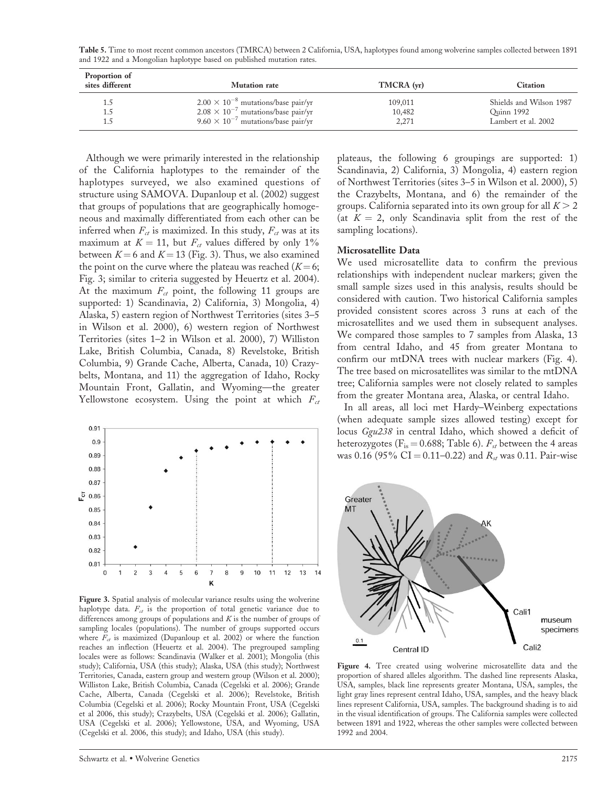Table 5. Time to most recent common ancestors (TMRCA) between 2 California, USA, haplotypes found among wolverine samples collected between 1891 and 1922 and a Mongolian haplotype based on published mutation rates.

| Proportion of<br>sites different | <b>Mutation rate</b>                         | TMCRA (yr) | <b>Citation</b>         |
|----------------------------------|----------------------------------------------|------------|-------------------------|
| 1.5                              | $2.00 \times 10^{-8}$ mutations/base pair/yr | 109,011    | Shields and Wilson 1987 |
| 1.5                              | $2.08 \times 10^{-7}$ mutations/base pair/yr | 10,482     | Quinn 1992              |
| 1.5                              | $9.60 \times 10^{-7}$ mutations/base pair/yr | 2,271      | Lambert et al. 2002     |

Although we were primarily interested in the relationship of the California haplotypes to the remainder of the haplotypes surveyed, we also examined questions of structure using SAMOVA. Dupanloup et al. (2002) suggest that groups of populations that are geographically homogeneous and maximally differentiated from each other can be inferred when  $F_{ct}$  is maximized. In this study,  $F_{ct}$  was at its maximum at  $K = 11$ , but  $F_{ct}$  values differed by only 1% between  $K = 6$  and  $K = 13$  (Fig. 3). Thus, we also examined the point on the curve where the plateau was reached ( $K=6$ ; Fig. 3; similar to criteria suggested by Heuertz et al. 2004). At the maximum  $F_{ct}$  point, the following 11 groups are supported: 1) Scandinavia, 2) California, 3) Mongolia, 4) Alaska, 5) eastern region of Northwest Territories (sites 3–5 in Wilson et al. 2000), 6) western region of Northwest Territories (sites 1–2 in Wilson et al. 2000), 7) Williston Lake, British Columbia, Canada, 8) Revelstoke, British Columbia, 9) Grande Cache, Alberta, Canada, 10) Crazybelts, Montana, and 11) the aggregation of Idaho, Rocky Mountain Front, Gallatin, and Wyoming—the greater Yellowstone ecosystem. Using the point at which  $F_{ct}$ 



Figure 3. Spatial analysis of molecular variance results using the wolverine haplotype data.  $F_{ct}$  is the proportion of total genetic variance due to differences among groups of populations and  $K$  is the number of groups of sampling locales (populations). The number of groups supported occurs where  $F_{ct}$  is maximized (Dupanloup et al. 2002) or where the function reaches an inflection (Heuertz et al. 2004). The pregrouped sampling locales were as follows: Scandinavia (Walker et al. 2001); Mongolia (this study); California, USA (this study); Alaska, USA (this study); Northwest Territories, Canada, eastern group and western group (Wilson et al. 2000); Williston Lake, British Columbia, Canada (Cegelski et al. 2006); Grande Cache, Alberta, Canada (Cegelski et al. 2006); Revelstoke, British Columbia (Cegelski et al. 2006); Rocky Mountain Front, USA (Cegelski et al 2006, this study); Crazybelts, USA (Cegelski et al. 2006); Gallatin, USA (Cegelski et al. 2006); Yellowstone, USA, and Wyoming, USA (Cegelski et al. 2006, this study); and Idaho, USA (this study).

plateaus, the following 6 groupings are supported: 1) Scandinavia, 2) California, 3) Mongolia, 4) eastern region of Northwest Territories (sites 3–5 in Wilson et al. 2000), 5) the Crazybelts, Montana, and 6) the remainder of the groups. California separated into its own group for all  $K > 2$ (at  $K = 2$ , only Scandinavia split from the rest of the sampling locations).

#### Microsatellite Data

We used microsatellite data to confirm the previous relationships with independent nuclear markers; given the small sample sizes used in this analysis, results should be considered with caution. Two historical California samples provided consistent scores across 3 runs at each of the microsatellites and we used them in subsequent analyses. We compared those samples to 7 samples from Alaska, 13 from central Idaho, and 45 from greater Montana to confirm our mtDNA trees with nuclear markers (Fig. 4). The tree based on microsatellites was similar to the mtDNA tree; California samples were not closely related to samples from the greater Montana area, Alaska, or central Idaho.

In all areas, all loci met Hardy–Weinberg expectations (when adequate sample sizes allowed testing) except for locus Ggu238 in central Idaho, which showed a deficit of heterozygotes ( $F_{is} = 0.688$ ; Table 6).  $F_{st}$  between the 4 areas was 0.16 (95% CI = 0.11–0.22) and  $R_{st}$  was 0.11. Pair-wise



Figure 4. Tree created using wolverine microsatellite data and the proportion of shared alleles algorithm. The dashed line represents Alaska, USA, samples, black line represents greater Montana, USA, samples, the light gray lines represent central Idaho, USA, samples, and the heavy black lines represent California, USA, samples. The background shading is to aid in the visual identification of groups. The California samples were collected between 1891 and 1922, whereas the other samples were collected between 1992 and 2004.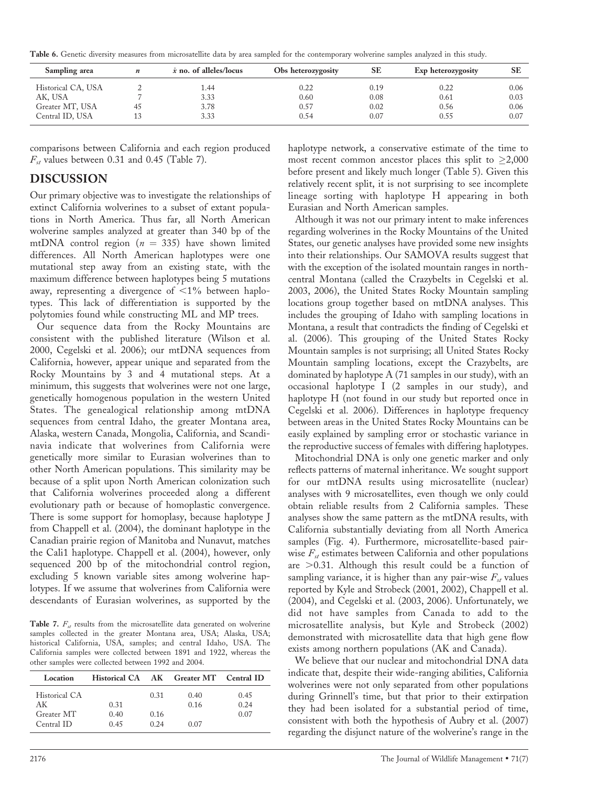Table 6. Genetic diversity measures from microsatellite data by area sampled for the contemporary wolverine samples analyzed in this study.

| Sampling area      | n  | $\bar{x}$ no. of alleles/locus | Obs heterozygosity | SE   | Exp heterozygosity | SE   |
|--------------------|----|--------------------------------|--------------------|------|--------------------|------|
| Historical CA, USA |    | 1.44                           | 0.22               | 0.19 | 0.22               | 0.06 |
| AK, USA            |    | 3.33                           | 0.60               | 0.08 | 0.61               | 0.03 |
| Greater MT, USA    | 45 | 3.78                           | 0.57               | 0.02 | 0.56               | 0.06 |
| Central ID, USA    | 13 | 3.33                           | 0.54               | 0.07 | 0.55               | 0.07 |

comparisons between California and each region produced  $F_{st}$  values between 0.31 and 0.45 (Table 7).

# DISCUSSION

Our primary objective was to investigate the relationships of extinct California wolverines to a subset of extant populations in North America. Thus far, all North American wolverine samples analyzed at greater than 340 bp of the mtDNA control region ( $n = 335$ ) have shown limited differences. All North American haplotypes were one mutational step away from an existing state, with the maximum difference between haplotypes being 5 mutations away, representing a divergence of  $\leq 1\%$  between haplotypes. This lack of differentiation is supported by the polytomies found while constructing ML and MP trees.

Our sequence data from the Rocky Mountains are consistent with the published literature (Wilson et al. 2000, Cegelski et al. 2006); our mtDNA sequences from California, however, appear unique and separated from the Rocky Mountains by 3 and 4 mutational steps. At a minimum, this suggests that wolverines were not one large, genetically homogenous population in the western United States. The genealogical relationship among mtDNA sequences from central Idaho, the greater Montana area, Alaska, western Canada, Mongolia, California, and Scandinavia indicate that wolverines from California were genetically more similar to Eurasian wolverines than to other North American populations. This similarity may be because of a split upon North American colonization such that California wolverines proceeded along a different evolutionary path or because of homoplastic convergence. There is some support for homoplasy, because haplotype J from Chappell et al. (2004), the dominant haplotype in the Canadian prairie region of Manitoba and Nunavut, matches the Cali1 haplotype. Chappell et al. (2004), however, only sequenced 200 bp of the mitochondrial control region, excluding 5 known variable sites among wolverine haplotypes. If we assume that wolverines from California were descendants of Eurasian wolverines, as supported by the

Table 7.  $F_{st}$  results from the microsatellite data generated on wolverine samples collected in the greater Montana area, USA; Alaska, USA; historical California, USA, samples; and central Idaho, USA. The California samples were collected between 1891 and 1922, whereas the other samples were collected between 1992 and 2004.

| Location      | Historical CA AK Greater MT Central ID |      |      |      |
|---------------|----------------------------------------|------|------|------|
| Historical CA |                                        | 0.31 | 0.40 | 0.45 |
| AК            | 0.31                                   |      | 0.16 | 0.24 |
| Greater MT    | 0.40                                   | 0.16 |      | 0.07 |
| Central ID    | 0.45                                   | 0.24 | 0.07 |      |

haplotype network, a conservative estimate of the time to most recent common ancestor places this split to  $\geq 2,000$ before present and likely much longer (Table 5). Given this relatively recent split, it is not surprising to see incomplete lineage sorting with haplotype H appearing in both Eurasian and North American samples.

Although it was not our primary intent to make inferences regarding wolverines in the Rocky Mountains of the United States, our genetic analyses have provided some new insights into their relationships. Our SAMOVA results suggest that with the exception of the isolated mountain ranges in northcentral Montana (called the Crazybelts in Cegelski et al. 2003, 2006), the United States Rocky Mountain sampling locations group together based on mtDNA analyses. This includes the grouping of Idaho with sampling locations in Montana, a result that contradicts the finding of Cegelski et al. (2006). This grouping of the United States Rocky Mountain samples is not surprising; all United States Rocky Mountain sampling locations, except the Crazybelts, are dominated by haplotype A (71 samples in our study), with an occasional haplotype I (2 samples in our study), and haplotype H (not found in our study but reported once in Cegelski et al. 2006). Differences in haplotype frequency between areas in the United States Rocky Mountains can be easily explained by sampling error or stochastic variance in the reproductive success of females with differing haplotypes.

Mitochondrial DNA is only one genetic marker and only reflects patterns of maternal inheritance. We sought support for our mtDNA results using microsatellite (nuclear) analyses with 9 microsatellites, even though we only could obtain reliable results from 2 California samples. These analyses show the same pattern as the mtDNA results, with California substantially deviating from all North America samples (Fig. 4). Furthermore, microsatellite-based pairwise  $F_{st}$  estimates between California and other populations are  $>0.31$ . Although this result could be a function of sampling variance, it is higher than any pair-wise  $F_{st}$  values reported by Kyle and Strobeck (2001, 2002), Chappell et al. (2004), and Cegelski et al. (2003, 2006). Unfortunately, we did not have samples from Canada to add to the microsatellite analysis, but Kyle and Strobeck (2002) demonstrated with microsatellite data that high gene flow exists among northern populations (AK and Canada).

We believe that our nuclear and mitochondrial DNA data indicate that, despite their wide-ranging abilities, California wolverines were not only separated from other populations during Grinnell's time, but that prior to their extirpation they had been isolated for a substantial period of time, consistent with both the hypothesis of Aubry et al. (2007) regarding the disjunct nature of the wolverine's range in the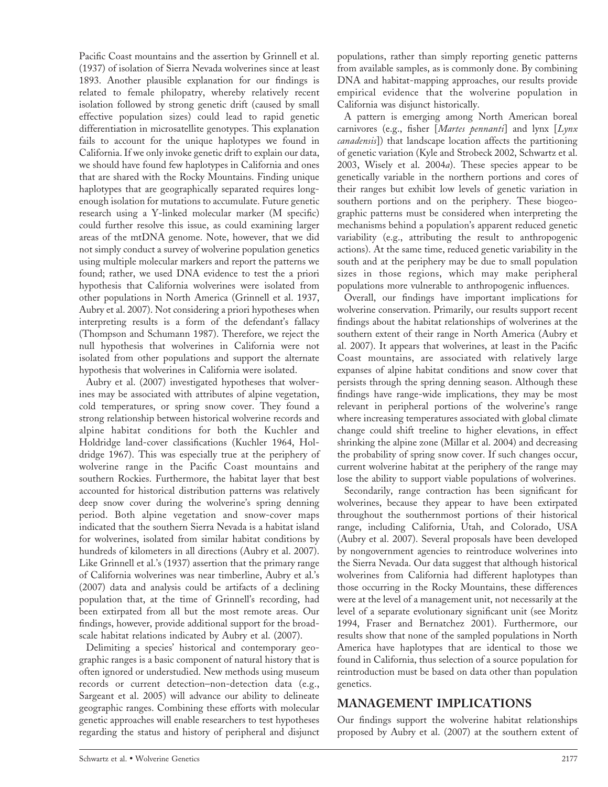Pacific Coast mountains and the assertion by Grinnell et al. (1937) of isolation of Sierra Nevada wolverines since at least 1893. Another plausible explanation for our findings is related to female philopatry, whereby relatively recent isolation followed by strong genetic drift (caused by small effective population sizes) could lead to rapid genetic differentiation in microsatellite genotypes. This explanation fails to account for the unique haplotypes we found in California. If we only invoke genetic drift to explain our data, we should have found few haplotypes in California and ones that are shared with the Rocky Mountains. Finding unique haplotypes that are geographically separated requires longenough isolation for mutations to accumulate. Future genetic research using a Y-linked molecular marker (M specific) could further resolve this issue, as could examining larger areas of the mtDNA genome. Note, however, that we did not simply conduct a survey of wolverine population genetics using multiple molecular markers and report the patterns we found; rather, we used DNA evidence to test the a priori hypothesis that California wolverines were isolated from other populations in North America (Grinnell et al. 1937, Aubry et al. 2007). Not considering a priori hypotheses when interpreting results is a form of the defendant's fallacy (Thompson and Schumann 1987). Therefore, we reject the null hypothesis that wolverines in California were not isolated from other populations and support the alternate hypothesis that wolverines in California were isolated.

Aubry et al. (2007) investigated hypotheses that wolverines may be associated with attributes of alpine vegetation, cold temperatures, or spring snow cover. They found a strong relationship between historical wolverine records and alpine habitat conditions for both the Kuchler and Holdridge land-cover classifications (Kuchler 1964, Holdridge 1967). This was especially true at the periphery of wolverine range in the Pacific Coast mountains and southern Rockies. Furthermore, the habitat layer that best accounted for historical distribution patterns was relatively deep snow cover during the wolverine's spring denning period. Both alpine vegetation and snow-cover maps indicated that the southern Sierra Nevada is a habitat island for wolverines, isolated from similar habitat conditions by hundreds of kilometers in all directions (Aubry et al. 2007). Like Grinnell et al.'s (1937) assertion that the primary range of California wolverines was near timberline, Aubry et al.'s (2007) data and analysis could be artifacts of a declining population that, at the time of Grinnell's recording, had been extirpated from all but the most remote areas. Our findings, however, provide additional support for the broadscale habitat relations indicated by Aubry et al. (2007).

Delimiting a species' historical and contemporary geographic ranges is a basic component of natural history that is often ignored or understudied. New methods using museum records or current detection–non-detection data (e.g., Sargeant et al. 2005) will advance our ability to delineate geographic ranges. Combining these efforts with molecular genetic approaches will enable researchers to test hypotheses regarding the status and history of peripheral and disjunct

populations, rather than simply reporting genetic patterns from available samples, as is commonly done. By combining DNA and habitat-mapping approaches, our results provide empirical evidence that the wolverine population in California was disjunct historically.

A pattern is emerging among North American boreal carnivores (e.g., fisher [Martes pennanti] and lynx [Lynx canadensis]) that landscape location affects the partitioning of genetic variation (Kyle and Strobeck 2002, Schwartz et al. 2003, Wisely et al. 2004a). These species appear to be genetically variable in the northern portions and cores of their ranges but exhibit low levels of genetic variation in southern portions and on the periphery. These biogeographic patterns must be considered when interpreting the mechanisms behind a population's apparent reduced genetic variability (e.g., attributing the result to anthropogenic actions). At the same time, reduced genetic variability in the south and at the periphery may be due to small population sizes in those regions, which may make peripheral populations more vulnerable to anthropogenic influences.

Overall, our findings have important implications for wolverine conservation. Primarily, our results support recent findings about the habitat relationships of wolverines at the southern extent of their range in North America (Aubry et al. 2007). It appears that wolverines, at least in the Pacific Coast mountains, are associated with relatively large expanses of alpine habitat conditions and snow cover that persists through the spring denning season. Although these findings have range-wide implications, they may be most relevant in peripheral portions of the wolverine's range where increasing temperatures associated with global climate change could shift treeline to higher elevations, in effect shrinking the alpine zone (Millar et al. 2004) and decreasing the probability of spring snow cover. If such changes occur, current wolverine habitat at the periphery of the range may lose the ability to support viable populations of wolverines.

Secondarily, range contraction has been significant for wolverines, because they appear to have been extirpated throughout the southernmost portions of their historical range, including California, Utah, and Colorado, USA (Aubry et al. 2007). Several proposals have been developed by nongovernment agencies to reintroduce wolverines into the Sierra Nevada. Our data suggest that although historical wolverines from California had different haplotypes than those occurring in the Rocky Mountains, these differences were at the level of a management unit, not necessarily at the level of a separate evolutionary significant unit (see Moritz 1994, Fraser and Bernatchez 2001). Furthermore, our results show that none of the sampled populations in North America have haplotypes that are identical to those we found in California, thus selection of a source population for reintroduction must be based on data other than population genetics.

# MANAGEMENT IMPLICATIONS

Our findings support the wolverine habitat relationships proposed by Aubry et al. (2007) at the southern extent of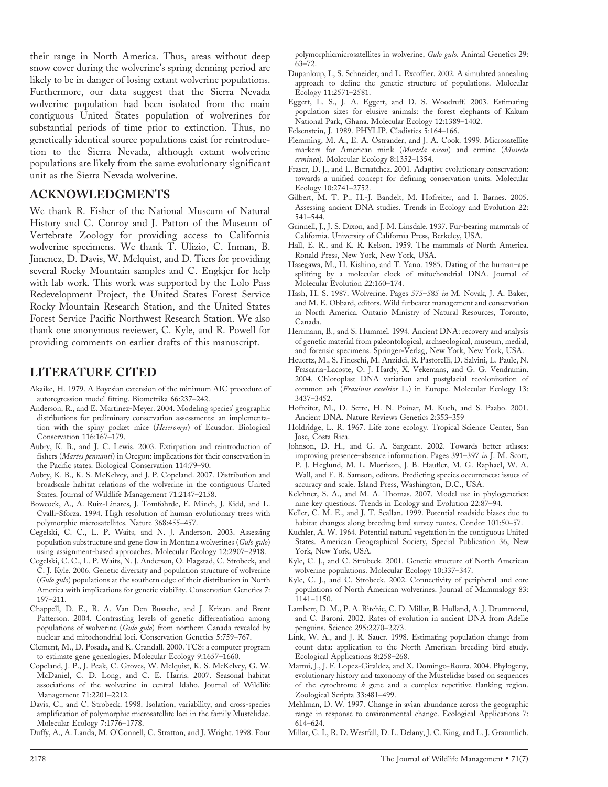their range in North America. Thus, areas without deep snow cover during the wolverine's spring denning period are likely to be in danger of losing extant wolverine populations. Furthermore, our data suggest that the Sierra Nevada wolverine population had been isolated from the main contiguous United States population of wolverines for substantial periods of time prior to extinction. Thus, no genetically identical source populations exist for reintroduction to the Sierra Nevada, although extant wolverine populations are likely from the same evolutionary significant unit as the Sierra Nevada wolverine.

#### ACKNOWLEDGMENTS

We thank R. Fisher of the National Museum of Natural History and C. Conroy and J. Patton of the Museum of Vertebrate Zoology for providing access to California wolverine specimens. We thank T. Ulizio, C. Inman, B. Jimenez, D. Davis, W. Melquist, and D. Tiers for providing several Rocky Mountain samples and C. Engkjer for help with lab work. This work was supported by the Lolo Pass Redevelopment Project, the United States Forest Service Rocky Mountain Research Station, and the United States Forest Service Pacific Northwest Research Station. We also thank one anonymous reviewer, C. Kyle, and R. Powell for providing comments on earlier drafts of this manuscript.

## LITERATURE CITED

- Akaike, H. 1979. A Bayesian extension of the minimum AIC procedure of autoregression model fitting. Biometrika 66:237–242.
- Anderson, R., and E. Martinez-Meyer. 2004. Modeling species' geographic distributions for preliminary conservation assessments: an implementation with the spiny pocket mice (Heteromys) of Ecuador. Biological Conservation 116:167–179.
- Aubry, K. B., and J. C. Lewis. 2003. Extirpation and reintroduction of fishers (Martes pennanti) in Oregon: implications for their conservation in the Pacific states. Biological Conservation 114:79–90.
- Aubry, K. B., K. S. McKelvey, and J. P. Copeland. 2007. Distribution and broadscale habitat relations of the wolverine in the contiguous United States. Journal of Wildlife Management 71:2147–2158.
- Bowcock, A., A. Ruiz-Linares, J. Tomfohrde, E. Minch, J. Kidd, and L. Cvalli-Sforza. 1994. High resolution of human evolutionary trees with polymorphic microsatellites. Nature 368:455–457.
- Cegelski, C. C., L. P. Waits, and N. J. Anderson. 2003. Assessing population substructure and gene flow in Montana wolverines (Gulo gulo) using assignment-based approaches. Molecular Ecology 12:2907–2918.
- Cegelski, C. C., L. P. Waits, N. J. Anderson, O. Flagstad, C. Strobeck, and C. J. Kyle. 2006. Genetic diversity and population structure of wolverine (Gulo gulo) populations at the southern edge of their distribution in North America with implications for genetic viability. Conservation Genetics 7: 197–211.
- Chappell, D. E., R. A. Van Den Bussche, and J. Krizan. and Brent Patterson. 2004. Contrasting levels of genetic differentiation among populations of wolverine (Gulo gulo) from northern Canada revealed by nuclear and mitochondrial loci. Conservation Genetics 5:759–767.
- Clement, M., D. Posada, and K. Crandall. 2000. TCS: a computer program to estimate gene genealogies. Molecular Ecology 9:1657–1660.
- Copeland, J. P., J. Peak, C. Groves, W. Melquist, K. S. McKelvey, G. W. McDaniel, C. D. Long, and C. E. Harris. 2007. Seasonal habitat associations of the wolverine in central Idaho. Journal of Wildlife Management 71:2201–2212.
- Davis, C., and C. Strobeck. 1998. Isolation, variability, and cross-species amplification of polymorphic microsatellite loci in the family Mustelidae. Molecular Ecology 7:1776–1778.

Duffy, A., A. Landa, M. O'Connell, C. Stratton, and J. Wright. 1998. Four

polymorphicmicrosatellites in wolverine, Gulo gulo. Animal Genetics 29: 63–72.

- Dupanloup, I., S. Schneider, and L. Excoffier. 2002. A simulated annealing approach to define the genetic structure of populations. Molecular Ecology 11:2571–2581.
- Eggert, L. S., J. A. Eggert, and D. S. Woodruff. 2003. Estimating population sizes for elusive animals: the forest elephants of Kakum National Park, Ghana. Molecular Ecology 12:1389–1402.
- Felsenstein, J. 1989. PHYLIP. Cladistics 5:164–166.
- Flemming, M. A., E. A. Ostrander, and J. A. Cook. 1999. Microsatellite markers for American mink (Mustela vison) and ermine (Mustela erminea). Molecular Ecology 8:1352–1354.
- Fraser, D. J., and L. Bernatchez. 2001. Adaptive evolutionary conservation: towards a unified concept for defining conservation units. Molecular Ecology 10:2741–2752.
- Gilbert, M. T. P., H.-J. Bandelt, M. Hofreiter, and I. Barnes. 2005. Assessing ancient DNA studies. Trends in Ecology and Evolution 22: 541–544.
- Grinnell, J., J. S. Dixon, and J. M. Linsdale. 1937. Fur-bearing mammals of California. University of California Press, Berkeley, USA.
- Hall, E. R., and K. R. Kelson. 1959. The mammals of North America. Ronald Press, New York, New York, USA.
- Hasegawa, M., H. Kishino, and T. Yano. 1985. Dating of the human–ape splitting by a molecular clock of mitochondrial DNA. Journal of Molecular Evolution 22:160–174.
- Hash, H. S. 1987. Wolverine. Pages 575–585 in M. Novak, J. A. Baker, and M. E. Obbard, editors. Wild furbearer management and conservation in North America. Ontario Ministry of Natural Resources, Toronto, Canada.
- Herrmann, B., and S. Hummel. 1994. Ancient DNA: recovery and analysis of genetic material from paleontological, archaeological, museum, medial, and forensic specimens. Springer-Verlag, New York, New York, USA.
- Heuertz, M., S. Fineschi, M. Anzidei, R. Pastorelli, D. Salvini, L. Paule, N. Frascaria-Lacoste, O. J. Hardy, X. Vekemans, and G. G. Vendramin. 2004. Chloroplast DNA variation and postglacial recolonization of common ash (Fraxinus excelsior L.) in Europe. Molecular Ecology 13: 3437–3452.
- Hofreiter, M., D. Serre, H. N. Poinar, M. Kuch, and S. Paabo. 2001. Ancient DNA. Nature Reviews Genetics 2:353–359
- Holdridge, L. R. 1967. Life zone ecology. Tropical Science Center, San Jose, Costa Rica.
- Johnson, D. H., and G. A. Sargeant. 2002. Towards better atlases: improving presence–absence information. Pages 391–397 in J. M. Scott, P. J. Heglund, M. L. Morrison, J. B. Haufler, M. G. Raphael, W. A. Wall, and F. B. Samson, editors. Predicting species occurrences: issues of accuracy and scale. Island Press, Washington, D.C., USA.
- Kelchner, S. A., and M. A. Thomas. 2007. Model use in phylogenetics: nine key questions. Trends in Ecology and Evolution 22:87–94.
- Keller, C. M. E., and J. T. Scallan. 1999. Potential roadside biases due to habitat changes along breeding bird survey routes. Condor 101:50–57.
- Kuchler, A. W. 1964. Potential natural vegetation in the contiguous United States. American Geographical Society, Special Publication 36, New York, New York, USA.
- Kyle, C. J., and C. Strobeck. 2001. Genetic structure of North American wolverine populations. Molecular Ecology 10:337–347.
- Kyle, C. J., and C. Strobeck. 2002. Connectivity of peripheral and core populations of North American wolverines. Journal of Mammalogy 83: 1141–1150.
- Lambert, D. M., P. A. Ritchie, C. D. Millar, B. Holland, A. J. Drummond, and C. Baroni. 2002. Rates of evolution in ancient DNA from Adelie penguins. Science 295:2270–2273.
- Link, W. A., and J. R. Sauer. 1998. Estimating population change from count data: application to the North American breeding bird study. Ecological Applications 8:258–268.
- Marmi, J., J. F. Lopez-Giraldez, and X. Domingo-Roura. 2004. Phylogeny, evolutionary history and taxonomy of the Mustelidae based on sequences of the cytochrome  $b$  gene and a complex repetitive flanking region. Zoological Scripta 33:481–499.
- Mehlman, D. W. 1997. Change in avian abundance across the geographic range in response to environmental change. Ecological Applications 7: 614–624.
- Millar, C. I., R. D. Westfall, D. L. Delany, J. C. King, and L. J. Graumlich.